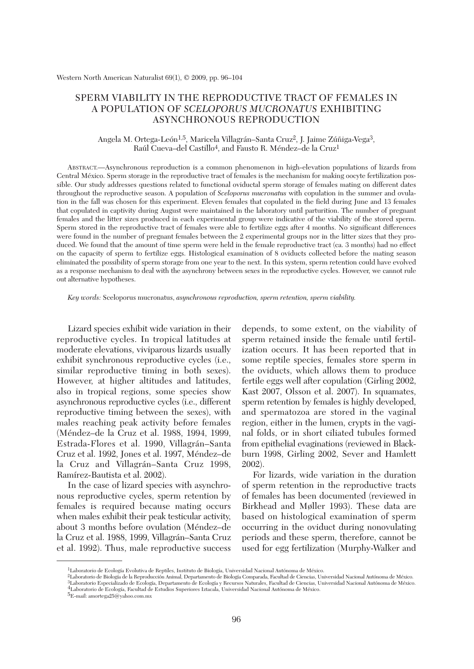# SPERM VIABILITY IN THE REPRODUCTIVE TRACT OF FEMALES IN A POPULATION OF *SCELOPORUS MUCRONATUS* EXHIBITING ASYNCHRONOUS REPRODUCTION

### Angela M. Ortega-León1,5, Maricela Villagrán–Santa Cruz2, J. Jaime Zúñiga-Vega3, Raúl Cueva–del Castillo4, and Fausto R. Méndez–de la Cruz1

ABSTRACT.—Asynchronous reproduction is a common phenomenon in high-elevation populations of lizards from Central México. Sperm storage in the reproductive tract of females is the mechanism for making oocyte fertilization possible. Our study addresses questions related to functional oviductal sperm storage of females mating on different dates throughout the reproductive season. A population of *Sceloporus mucronatus* with copulation in the summer and ovulation in the fall was chosen for this experiment. Eleven females that copulated in the field during June and 13 females that copulated in captivity during August were maintained in the laboratory until parturition. The number of pregnant females and the litter sizes produced in each experimental group were indicative of the viability of the stored sperm. Sperm stored in the reproductive tract of females were able to fertilize eggs after 4 months. No significant differences were found in the number of pregnant females between the 2 experimental groups nor in the litter sizes that they produced. We found that the amount of time sperm were held in the female reproductive tract (ca. 3 months) had no effect on the capacity of sperm to fertilize eggs. Histological examination of 8 oviducts collected before the mating season eliminated the possibility of sperm storage from one year to the next. In this system, sperm retention could have evolved as a response mechanism to deal with the asynchrony between sexes in the reproductive cycles. However, we cannot rule out alternative hypotheses.

*Key words:* Sceloporus mucronatus, *asynchronous reproduction, sperm retention, sperm viability.*

Lizard species exhibit wide variation in their reproductive cycles. In tropical latitudes at moderate elevations, viviparous lizards usually exhibit synchronous reproductive cycles (i.e., similar reproductive timing in both sexes). However, at higher altitudes and latitudes, also in tropical regions, some species show asynchronous reproductive cycles (i.e., different reproductive timing between the sexes), with males reaching peak activity before females (Méndez–de la Cruz et al. 1988, 1994, 1999, Estrada-Flores et al. 1990, Villagrán–Santa Cruz et al. 1992, Jones et al. 1997, Méndez–de la Cruz and Villagrán–Santa Cruz 1998, Ramírez-Bautista et al. 2002).

In the case of lizard species with asynchronous reproductive cycles, sperm retention by females is required because mating occurs when males exhibit their peak testicular activity, about 3 months before ovulation (Méndez–de la Cruz et al. 1988, 1999, Villagrán–Santa Cruz et al. 1992). Thus, male reproductive success depends, to some extent, on the viability of sperm retained inside the female until fertilization occurs. It has been reported that in some reptile species, females store sperm in the oviducts, which allows them to produce fertile eggs well after copulation (Girling 2002, Kast 2007, Olsson et al. 2007). In squamates, sperm retention by females is highly developed, and spermatozoa are stored in the vaginal region, either in the lumen, crypts in the vaginal folds, or in short ciliated tubules formed from epithelial evaginations (reviewed in Blackburn 1998, Girling 2002, Sever and Hamlett 2002).

For lizards, wide variation in the duration of sperm retention in the reproductive tracts of females has been documented (reviewed in Birkhead and Møller 1993). These data are based on histological examination of sperm occurring in the oviduct during nonovulating periods and these sperm, therefore, cannot be used for egg fertilization (Murphy-Walker and

<sup>&</sup>lt;sup>1</sup>Laboratorio de Ecología Evolutiva de Reptiles, Instituto de Biología, Universidad Nacional Autónoma de México.

<sup>2</sup>Laboratorio de Biología de la Reproducción Animal, Departamento de Biología Comparada, Facultad de Ciencias, Universidad Nacional Autónoma de México. <sup>3</sup>Laboratorio Especializado de Ecología, Departamento de Ecología y Recursos Naturales, Facultad de Ciencias, Universidad Nacional Autónoma de México.<br><sup>4</sup>Laboratorio de Ecología, Facultad de Estudios Superiores Iztacala,

 $5E$ -mail: amortega $25@$ yahoo.com.mx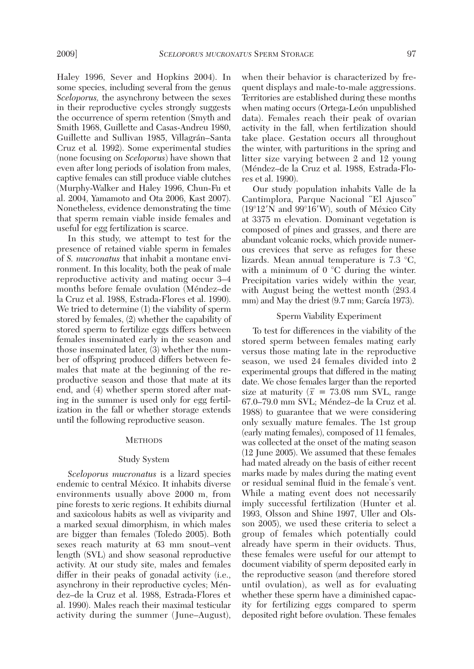Haley 1996, Sever and Hopkins 2004). In some species, including several from the genus *Sceloporus,* the asynchrony between the sexes in their reproductive cycles strongly suggests the occurrence of sperm retention (Smyth and Smith 1968, Guillette and Casas-Andreu 1980, Guillette and Sullivan 1985, Villagrán–Santa Cruz et al*.* 1992). Some experimental studies (none focusing on *Sceloporus*) have shown that even after long periods of isolation from males, captive females can still produce viable clutches (Murphy-Walker and Haley 1996, Chun-Fu et al. 2004, Yamamoto and Ota 2006, Kast 2007). Nonetheless, evidence demonstrating the time that sperm remain viable inside females and useful for egg fertilization is scarce.

In this study, we attempt to test for the presence of retained viable sperm in females of *S. mucronatus* that inhabit a montane environment. In this locality, both the peak of male reproductive activity and mating occur 3–4 months before female ovulation (Méndez–de la Cruz et al. 1988, Estrada-Flores et al. 1990). We tried to determine (1) the viability of sperm stored by females, (2) whether the capability of stored sperm to fertilize eggs differs between females inseminated early in the season and those inseminated later, (3) whether the number of offspring produced differs between fe males that mate at the beginning of the reproductive season and those that mate at its end, and (4) whether sperm stored after mating in the summer is used only for egg fertilization in the fall or whether storage extends until the following reproductive season.

### **METHODS**

#### Study System

*Sceloporus mucronatus* is a lizard species endemic to central México. It inhabits diverse environments usually above 2000 m, from pine forests to xeric regions. It exhibits diurnal and saxicolous habits as well as viviparity and a marked sexual dimorphism, in which males are bigger than females (Toledo 2005). Both sexes reach maturity at 63 mm snout–vent length (SVL) and show seasonal reproductive activity. At our study site, males and females differ in their peaks of gonadal activity (i.e., asynchrony in their reproductive cycles; Méndez–de la Cruz et al. 1988, Estrada-Flores et al. 1990). Males reach their maximal testicular activity during the summer (June–August),

when their behavior is characterized by frequent displays and male-to-male aggressions. Territories are established during these months when mating occurs (Ortega-León unpublished data). Females reach their peak of ovarian activity in the fall, when fertilization should take place. Gestation occurs all throughout the winter, with parturitions in the spring and litter size varying between 2 and 12 young (Méndez–de la Cruz et al. 1988, Estrada-Flores et al. 1990).

Our study population inhabits Valle de la Cantimplora, Parque Nacional "El Ajusco"  $(19°12'N$  and  $99°16'W$ ), south of México City at 3375 m elevation. Dominant vegetation is composed of pines and grasses, and there are abundant volcanic rocks, which provide numerous crevices that serve as refuges for these lizards. Mean annual temperature is 7.3 °C, with a minimum of 0 °C during the winter. Precipitation varies widely within the year, with August being the wettest month (293.4 mm) and May the driest (9.7 mm; García 1973).

### Sperm Viability Experiment

To test for differences in the viability of the stored sperm between females mating early versus those mating late in the reproductive season, we used 24 females divided into 2 experimental groups that differed in the mating date. We chose females larger than the reported size at maturity ( $\bar{x}$  = 73.08 mm SVL, range 67.0–79.0 mm SVL; Méndez–de la Cruz et al. 1988) to guarantee that we were considering only sexually mature females. The 1st group (early mating females), composed of 11 females, was collected at the onset of the mating season (12 June 2005). We assumed that these females had mated already on the basis of either recent marks made by males during the mating event or residual seminal fluid in the female's vent. While a mating event does not necessarily imply successful fertilization (Hunter et al. 1993, Olsson and Shine 1997, Uller and Olsson 2005), we used these criteria to select a group of females which potentially could already have sperm in their oviducts. Thus, these females were useful for our attempt to document viability of sperm deposited early in the reproductive season (and therefore stored until ovulation), as well as for evaluating whether these sperm have a diminished capacity for fertilizing eggs compared to sperm deposited right before ovulation. These females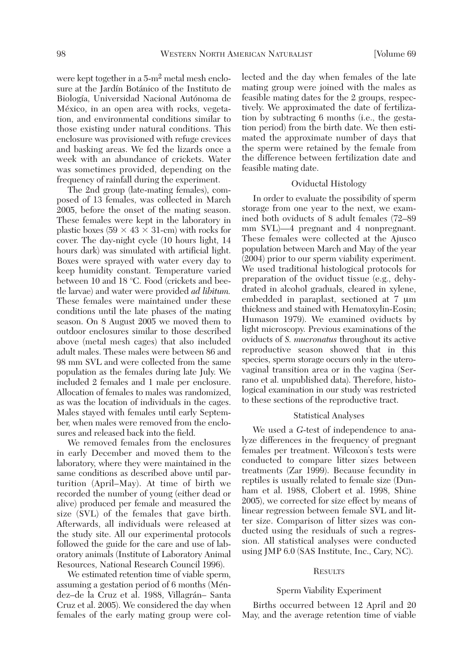were kept together in a 5-m2 metal mesh enclosure at the Jardín Botánico of the Instituto de Biología, Universidad Nacional Autónoma de México, in an open area with rocks, vegetation, and environmental conditions similar to those existing under natural conditions. This enclosure was provisioned with refuge crevices and basking areas. We fed the lizards once a week with an abundance of crickets. Water was sometimes provided, depending on the frequency of rainfall during the experiment.

The 2nd group (late-mating females), composed of 13 females, was collected in March 2005, before the onset of the mating season. These females were kept in the laboratory in plastic boxes (59  $\times$  43  $\times$  31-cm) with rocks for cover. The day-night cycle (10 hours light, 14 hours dark) was simulated with artificial light. Boxes were sprayed with water every day to keep humidity constant. Temperature varied between 10 and 18 °C. Food (crickets and beetle larvae) and water were provided *ad libitum.* These females were maintained under these conditions until the late phases of the mating season. On 8 August 2005 we moved them to outdoor enclosures similar to those described above (metal mesh cages) that also included adult males. These males were between 86 and 98 mm SVL and were collected from the same population as the females during late July. We included 2 females and 1 male per enclosure. Allocation of females to males was randomized, as was the location of individuals in the cages. Males stayed with females until early September, when males were removed from the enclosures and released back into the field.

We removed females from the enclosures in early December and moved them to the laboratory, where they were maintained in the same conditions as described above until parturition (April–May). At time of birth we recorded the number of young (either dead or alive) produced per female and measured the size (SVL) of the females that gave birth. Afterwards, all individuals were released at the study site. All our experimental protocols followed the guide for the care and use of laboratory animals (Institute of Laboratory Animal Resources, National Research Council 1996).

We estimated retention time of viable sperm, assuming a gestation period of 6 months (Méndez–de la Cruz et al. 1988, Villagrán– Santa Cruz et al. 2005). We considered the day when females of the early mating group were collected and the day when females of the late mating group were joined with the males as feasible mating dates for the 2 groups, respectively. We approximated the date of fertilization by subtracting 6 months (i.e., the gestation period) from the birth date. We then estimated the approximate number of days that the sperm were retained by the female from the difference between fertilization date and feasible mating date.

### Oviductal Histology

In order to evaluate the possibility of sperm storage from one year to the next, we examined both oviducts of 8 adult females (72–89 mm SVL)—4 pregnant and 4 nonpregnant. These females were collected at the Ajusco population between March and May of the year (2004) prior to our sperm viability experiment. We used traditional histological protocols for preparation of the oviduct tissue (e.g., dehydrated in alcohol graduals, cleared in xylene, embedded in paraplast, sectioned at 7 μm thickness and stained with Hematoxylin-Eosin; Humason 1979). We examined oviducts by light microscopy. Previous examinations of the oviducts of *S. mucronatus* throughout its active reproductive season showed that in this species, sperm storage occurs only in the uterovaginal transition area or in the vagina (Serrano et al. unpublished data). Therefore, histological examination in our study was restricted to these sections of the reproductive tract.

## Statistical Analyses

We used a *G*-test of independence to analyze differences in the frequency of pregnant females per treatment. Wilcoxon's tests were conducted to compare litter sizes between treatments (Zar 1999). Because fecundity in reptiles is usually related to female size (Dunham et al. 1988, Clobert et al. 1998, Shine 2005), we corrected for size effect by means of linear regression between female SVL and litter size. Comparison of litter sizes was conducted using the residuals of such a regression. All statistical analyses were conducted using JMP 6.0 (SAS Institute, Inc., Cary, NC).

### **RESULTS**

#### Sperm Viability Experiment

Births occurred between 12 April and 20 May, and the average retention time of viable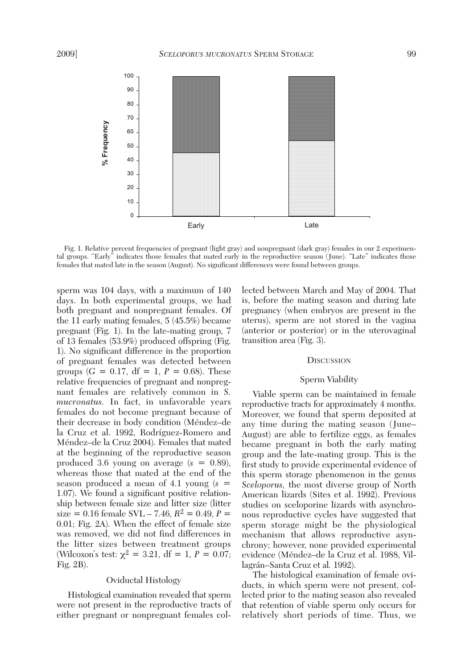

Fig. 1. Relative percent frequencies of pregnant (light gray) and nonpregnant (dark gray) females in our 2 experimental groups. "Early" indicates those females that mated early in the reproductive season (June). "Late" indicates those

sperm was 104 days, with a maximum of 140 days. In both experimental groups, we had both pregnant and nonpregnant females. Of the 11 early mating females, 5 (45.5%) became pregnant (Fig. 1). In the late-mating group, 7 of 13 females (53.9%) produced offspring (Fig. 1). No significant difference in the proportion of pregnant females was detected between groups ( $G = 0.17$ , df = 1,  $P = 0.68$ ). These relative frequencies of pregnant and nonpregnant females are relatively common in *S. mucronatus.* In fact, in unfavorable years females do not become pregnant because of their decrease in body condition (Méndez–de la Cruz et al. 1992, Rodríguez-Romero and Méndez–de la Cruz 2004). Females that mated at the beginning of the reproductive season produced 3.6 young on average  $(s = 0.89)$ , whereas those that mated at the end of the season produced a mean of 4.1 young (*s* = 1.07). We found a significant positive relationship between female size and litter size (litter  $size = 0.16$  female  $SVL - 7.46$ ,  $R^2 = 0.49$ ,  $P =$ 0.01; Fig. 2A). When the effect of female size was removed, we did not find differences in the litter sizes between treatment groups (Wilcoxon's test:  $\chi^2 = 3.21$ , df = 1,  $P = 0.07$ ; Fig. 2B).

### Oviductal Histology

Histological examination revealed that sperm were not present in the reproductive tracts of either pregnant or nonpregnant females collected between March and May of 2004. That is, before the mating season and during late pregnancy (when embryos are present in the uterus), sperm are not stored in the vagina (anterior or posterior) or in the uterovaginal transition area (Fig. 3).

#### **DISCUSSION**

### Sperm Viability

Viable sperm can be maintained in female reproductive tracts for approximately 4 months. Moreover, we found that sperm deposited at any time during the mating season (June– August) are able to fertilize eggs, as females became pregnant in both the early mating group and the late-mating group. This is the first study to provide experimental evidence of this sperm storage phenomenon in the genus *Sceloporus,* the most diverse group of North American lizards (Sites et al. 1992). Previous studies on sceloporine lizards with asynchronous reproductive cycles have suggested that sperm storage might be the physiological mechanism that allows reproductive asynchrony; however, none provided experimental evidence (Méndez–de la Cruz et al. 1988, Villagrán–Santa Cruz et al*.* 1992).

The histological examination of female oviducts, in which sperm were not present, collected prior to the mating season also revealed that retention of viable sperm only occurs for relatively short periods of time. Thus, we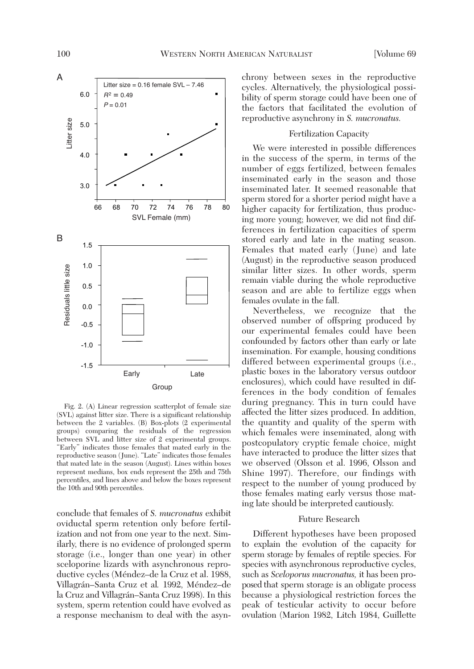

Fig. 2. (A) Linear regression scatterplot of female size (SVL) against litter size. There is a significant relationship between the 2 variables. (B) Box-plots (2 experimental groups) comparing the residuals of the regression between SVL and litter size of 2 experimental groups. "Early" indicates those females that mated early in the reproductive season (June). "Late" indicates those females that mated late in the season (August). Lines within boxes represent medians, box ends represent the 25th and 75th percentiles, and lines above and below the boxes represent

conclude that females of *S. mucronatus* exhibit oviductal sperm retention only before fertilization and not from one year to the next. Similarly, there is no evidence of prolonged sperm storage (i.e., longer than one year) in other sceloporine lizards with asynchronous reproductive cycles (Méndez–de la Cruz et al. 1988, Villagrán–Santa Cruz et al*.* 1992, Méndez–de la Cruz and Villagrán–Santa Cruz 1998). In this system, sperm retention could have evolved as a response mechanism to deal with the asynchrony between sexes in the reproductive cycles. Alternatively, the physiological possibility of sperm storage could have been one of the factors that facilitated the evolution of reproductive asynchrony in *S. mucronatus.*

### Fertilization Capacity

We were interested in possible differences in the success of the sperm, in terms of the number of eggs fertilized, between females inseminated early in the season and those inseminated later. It seemed reasonable that sperm stored for a shorter period might have a higher capacity for fertilization, thus producing more young; however, we did not find differences in fertilization capacities of sperm stored early and late in the mating season. Females that mated early (June) and late (August) in the reproductive season produced similar litter sizes. In other words, sperm remain viable during the whole reproductive season and are able to fertilize eggs when females ovulate in the fall.

Nevertheless, we recognize that the observed number of offspring produced by our experimental females could have been confounded by factors other than early or late insemination. For example, housing conditions differed between experimental groups (i.e., plastic boxes in the laboratory versus outdoor enclosures), which could have resulted in differences in the body condition of females during pregnancy. This in turn could have affected the litter sizes produced. In addition, the quantity and quality of the sperm with which females were inseminated, along with postcopulatory cryptic female choice, might have interacted to produce the litter sizes that we observed (Olsson et al. 1996, Olsson and Shine 1997). Therefore, our findings with respect to the number of young produced by those females mating early versus those mating late should be interpreted cautiously.

### Future Research

Different hypotheses have been proposed to explain the evolution of the capacity for sperm storage by females of reptile species. For species with asynchronous reproductive cycles, such as *Sceloporus mucronatus*, it has been proposed that sperm storage is an obligate process because a physiological restriction forces the peak of testicular activity to occur before ovulation (Marion 1982, Litch 1984, Guillette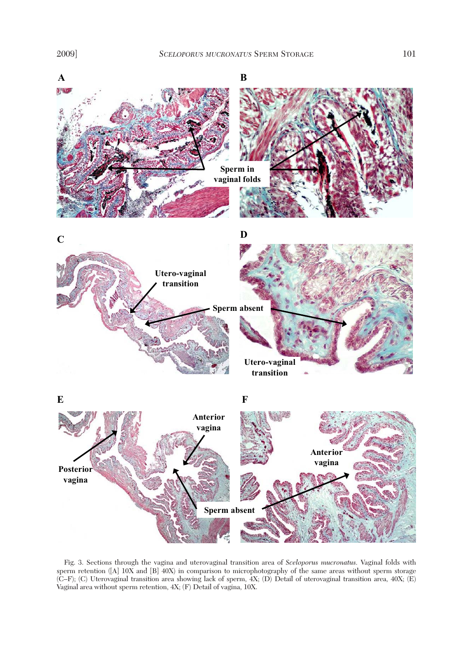

Fig. 3. Sections through the vagina and uterovaginal transition area of *Sceloporus mucronatus.* Vaginal folds with sperm retention ([A] 10X and [B] 40X) in comparison to microphotography of the same areas without sperm storage (C–F); (C) Uterovaginal transition area showing lack of sperm, 4X; (D) Detail of uterovaginal transition area, 40X; (E) Vaginal area without sperm retention, 4X; (F) Detail of vagina, 10X.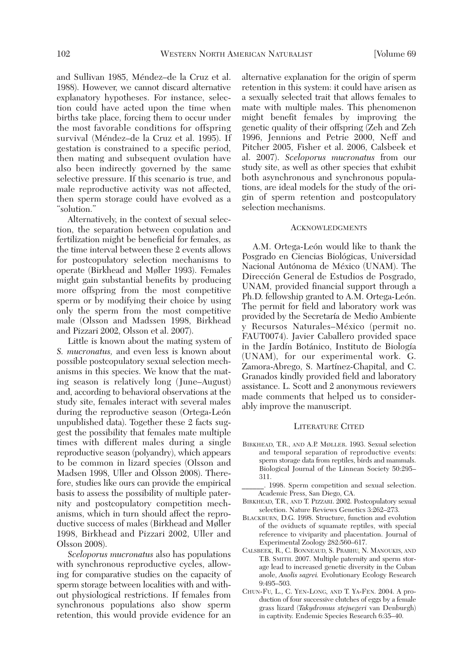and Sullivan 1985, Méndez–de la Cruz et al. 1988). However, we cannot discard alternative explanatory hypotheses. For instance, selection could have acted upon the time when births take place, forcing them to occur under the most favorable conditions for offspring survival (Méndez–de la Cruz et al. 1995). If gestation is constrained to a specific period, then mating and subsequent ovulation have also been indirectly governed by the same selective pressure. If this scenario is true, and male reproductive activity was not affected, then sperm storage could have evolved as a "solution."

Alternatively, in the context of sexual selection, the separation between copulation and fertilization might be beneficial for females, as the time interval between these 2 events allows for postcopulatory selection mechanisms to operate (Birkhead and Møller 1993). Females might gain substantial benefits by producing more offspring from the most competitive sperm or by modifying their choice by using only the sperm from the most competitive male (Olsson and Madssen 1998, Birkhead and Pizzari 2002, Olsson et al. 2007).

Little is known about the mating system of *S. mucronatus,* and even less is known about possible postcopulatory sexual selection mechanisms in this species. We know that the mating season is relatively long (June–August) and, according to behavioral observations at the study site, females interact with several males during the reproductive season (Ortega-León unpublished data). Together these 2 facts suggest the possibility that females mate multiple times with different males during a single reproductive season (polyandry), which appears to be common in lizard species (Olsson and Madsen 1998, Uller and Olsson 2008). Therefore, studies like ours can provide the empirical basis to assess the possibility of multiple paternity and postcopulatory competition mechanisms, which in turn should affect the reproductive success of males (Birkhead and Møller 1998, Birkhead and Pizzari 2002, Uller and Olsson 2008).

*Sceloporus mucronatus* also has populations with synchronous reproductive cycles, allowing for comparative studies on the capacity of sperm storage between localities with and without physiological restrictions. If females from synchronous populations also show sperm retention, this would provide evidence for an

alternative explanation for the origin of sperm retention in this system: it could have arisen as a sexually selected trait that allows females to mate with multiple males. This phenomenon might benefit females by improving the genetic quality of their offspring (Zeh and Zeh 1996, Jennions and Petrie 2000, Neff and Pitcher 2005, Fisher et al. 2006, Calsbeek et al. 2007). *Sceloporus mucronatus* from our study site, as well as other species that exhibit both asynchronous and synchronous populations, are ideal models for the study of the origin of sperm retention and postcopulatory selection mechanisms.

### **ACKNOWLEDGMENTS**

A.M. Ortega-León would like to thank the Posgrado en Ciencias Biológicas, Universidad Nacional Autónoma de México (UNAM). The Dirección General de Estudios de Posgrado, UNAM, provided financial support through a Ph.D. fellowship granted to A.M. Ortega-León. The permit for field and laboratory work was provided by the Secretaría de Medio Ambiente y Recursos Naturales–México (permit no. FAUT0074). Javier Caballero provided space in the Jardín Botánico, Instituto de Biología (UNAM), for our experimental work. G. Zamora-Abrego, S. Martínez-Chapital, and C. Granados kindly provided field and laboratory assistance. L. Scott and 2 anonymous reviewers made comments that helped us to considerably improve the manuscript.

### LITERATURE CITED

- BIRKHEAD, T.R., AND A.P. MØLLER. 1993. Sexual selection and temporal separation of reproductive events: sperm storage data from reptiles, birds and mammals. Biological Journal of the Linnean Society 50:295– 311.
	- \_\_\_\_\_\_. 1998. Sperm competition and sexual selection. Academic Press, San Diego, CA.
- BIRKHEAD, T.R., AND T. PIZZARI. 2002. Postcopulatory sexual selection. Nature Reviews Genetics 3:262–273.
- BLACKBURN, D.G. 1998. Structure, function and evolution of the oviducts of squamate reptiles, with special reference to viviparity and placentation. Journal of Experimental Zoology 282:560–617.
- CALSBEEK, R., C. BONNEAUD, S. PRABHU, N. MANOUKIS, AND T.B. SMITH. 2007. Multiple paternity and sperm storage lead to increased genetic diversity in the Cuban anole, *Anolis sagrei.* Evolutionary Ecology Research 9:495–503.
- CHUN-FU, L., C. YEN-LONG, AND T. YA-FEN. 2004. A production of four successive clutches of eggs by a female grass lizard (*Takydromus stejnegeri* van Denburgh) in captivity. Endemic Species Research 6:35–40.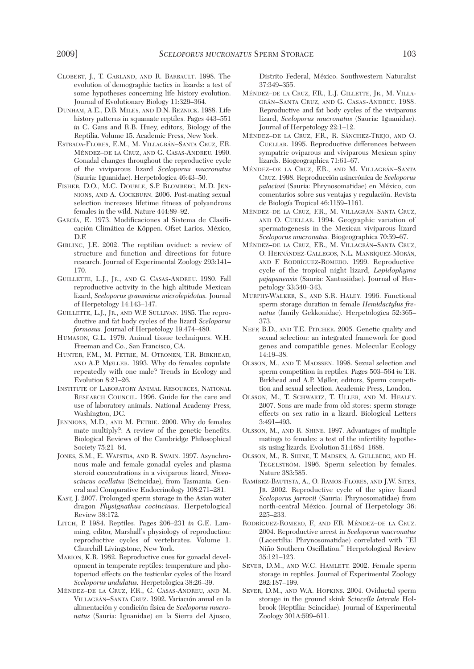- CLOBERT, J., T. GARLAND, AND R. BARBAULT. 1998. The evolution of demographic tactics in lizards: a test of some hypotheses concerning life history evolution. Journal of Evolutionary Biology 11:329–364.
- DUNHAM, A.E., D.B. MILES, AND D.N. REZNICK. 1988. Life history patterns in squamate reptiles. Pages 443–551 *in* C. Gans and R.B. Huey, editors, Biology of the Reptilia. Volume 15. Academic Press, New York.
- ESTRADA-FLORES, E.M., M. VILLAGRÁN–SANTA CRUZ, F.R. MÉNDEZ–DE LA CRUZ, AND G. CASAS-ANDREU. 1990. Gonadal changes throughout the reproductive cycle of the viviparous lizard *Sceloporus mucronatus* (Sauria: Iguanidae). Herpetologica 46:43–50.
- FISHER, D.O., M.C. DOUBLE, S.P. BLOMBERG, M.D. JEN-NIONS, AND A. COCKBURN. 2006. Post-mating sexual selection increases lifetime fitness of polyandrous females in the wild. Nature 444:89–92.
- GARCÍA, E. 1973. Modificaciones al Sistema de Clasificación Climática de Köppen. Ofset Larios. México, D.F.
- GIRLING, J.E. 2002. The reptilian oviduct: a review of structure and function and directions for future research. Journal of Experimental Zoology 293:141– 170.
- GUILLETTE, L.J., JR., AND G. CASAS-ANDREU. 1980. Fall reproductive activity in the high altitude Mexican lizard, *Sceloporus grammicus microlepidotus.* Journal of Herpetology 14:143–147.
- GUILLETTE, L.J., JR., AND W.P. SULLIVAN. 1985. The reproductive and fat body cycles of the lizard *Sceloporus formosus.* Journal of Herpetology 19:474–480.
- HUMASON, G.L. 1979. Animal tissue techniques. W.H. Freeman and Co., San Francisco, CA.
- HUNTER, F.M., M. PETRIE, M. OTRONEN, T.R. BIRKHEAD, AND A.P. MØLLER. 1993. Why do females copulate repeatedly with one male? Trends in Ecology and Evolution 8:21–26.
- INSTITUTE OF LABORATORY ANIMAL RESOURCES, NATIONAL RESEARCH COUNCIL. 1996. Guide for the care and use of laboratory animals. National Academy Press, Washington, DC.
- JENNIONS, M.D., AND M. PETRIE. 2000. Why do females mate multiply?: A review of the genetic benefits. Biological Reviews of the Cambridge Philosophical Society 75:21–64.
- JONES, S.M., E. WAPSTRA, AND R. SWAIN. 1997. Asynchronous male and female gonadal cycles and plasma steroid concentrations in a viviparous lizard, *Niveo scincus ocellatus* (Scincidae), from Tasmania. General and Comparative Endocrinology 108:271–281.
- KAST, J. 2007. Prolonged sperm storage in the Asian water dragon *Physignathus cocincinus.* Herpetological Review 38:172.
- LITCH, P. 1984. Reptiles. Pages 206–231 *in* G.E. Lamming, editor, Marshall's physiology of reproduction: reproductive cycles of vertebrates. Volume 1. Churchill Livingstone, New York.
- MARION, K.R. 1982. Reproductive cues for gonadal development in temperate reptiles: temperature and photoperiod effects on the testicular cycles of the lizard *Sceloporus undulatus.* Herpetologica 38:26–39.
- MÉNDEZ–DE LA CRUZ, F.R., G. CASAS-ANDREU, AND M. VILLAGRÁN–SANTA CRUZ. 1992. Variación anual en la alimentación y condición física de *Sceloporus mucro natus* (Sauria: Iguanidae) en la Sierra del Ajusco,

Distrito Federal, México. Southwestern Naturalist 37:349–355.

- MÉNDEZ–DE LA CRUZ, F.R., L.J. GILLETTE, JR., M. VILLA-GRÁN–SANTA CRUZ, AND G. CASAS-ANDREU. 1988. Reproductive and fat body cycles of the viviparous lizard, *Sceloporus mucronatus* (Sauria: Iguanidae). Journal of Herpetology 22:1–12.
- MÉNDEZ–DE LA CRUZ, F.R., R. SÁNCHEZ-TREJO, AND O. CUELLAR. 1995. Reproductive differences between sympatric oviparous and viviparous Mexican spiny lizards. Biogeographica 71:61–67.
- MÉNDEZ–DE LA CRUZ, F.R., AND M. VILLAGRÁN–SANTA CRUZ. 1998. Reproducción asincrónica de *Sceloporus palaciosi* (Sauria: Phrynosomatidae) en México, con comentarios sobre sus ventajas y regulación. Revista de Biología Tropical 46:1159–1161.
- MÉNDEZ–DE LA CRUZ, F.R., M. VILLAGRÁN–SANTA CRUZ, AND O. CUELLAR. 1994. Geographic variation of spermatogenesis in the Mexican viviparous lizard *Sceloporus mucronatus.* Biogeographica 70:59–67.
- MÉNDEZ–DE LA CRUZ, F.R., M. VILLAGRÁN–SANTA CRUZ, O. HERNÁNDEZ-GALLEGOS, N.L. MANRÍQUEZ-MORÁN, AND F. RODRÍGUEZ-ROMERO. 1999. Reproductive cycle of the tropical night lizard, *Lepidophyma pajapanensis* (Sauria: Xantusiidae). Journal of Herpetology 33:340–343.
- MURPHY-WALKER, S., AND S.R. HALEY. 1996. Functional sperm storage duration in female *Hemidactylus frenatus* (family Gekkonidae). Herpetologica 52:365– 373.
- NEFF, B.D., AND T.E. PITCHER. 2005. Genetic quality and sexual selection: an integrated framework for good genes and compatible genes. Molecular Ecology 14:19–38.
- OLSSON, M., AND T. MADSSEN. 1998. Sexual selection and sperm competition in reptiles. Pages 503–564 *in* T.R. Birkhead and A.P. Møller, editors, Sperm competition and sexual selection. Academic Press, London.
- OLSSON, M., T. SCHWARTZ, T. ULLER, AND M. HEALEY. 2007. Sons are made from old stores: sperm storage effects on sex ratio in a lizard. Biological Letters 3:491–493.
- OLSSON, M., AND R. SHINE. 1997. Advantages of multiple matings to females: a test of the infertility hypothesis using lizards. Evolution 51:1684–1688.
- OLSSON, M., R. SHINE, T. MADSEN, A. GULLBERG, AND H. TEGELSTRÖM. 1996. Sperm selection by females. Nature 383:585.
- RAMÍREZ-BAUTISTA, A., O. RAMOS-FLORES, AND J.W. SITES, JR. 2002. Reproductive cycle of the spiny lizard *Sceloporus jarrovii* (Sauria: Phrynosomatidae) from north-central México. Journal of Herpetology 36: 225–233.
- RODRÍGUEZ-ROMERO, F., AND F.R. MÉNDEZ–DE LA CRUZ. 2004. Reproductive arrest in *Sceloporus mucronatus* (Lacertilia: Phrynosomatidae) correlated with "El Niño Southern Oscillation." Herpetological Review 35:121–123.
- SEVER, D.M., AND W.C. HAMLETT. 2002. Female sperm storage in reptiles. Journal of Experimental Zoology 292:187–199.
- SEVER, D.M., AND W.A. HOPKINS. 2004. Oviductal sperm storage in the ground skink *Scincella laterale* Holbrook (Reptilia: Scincidae). Journal of Experimental Zoology 301A:599–611.